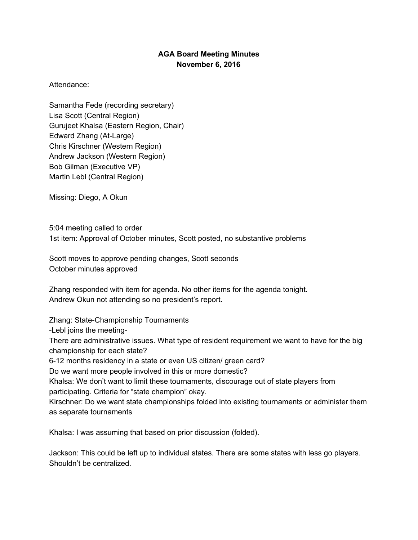## **AGA Board Meeting Minutes November 6, 2016**

## Attendance:

Samantha Fede (recording secretary) Lisa Scott (Central Region) Gurujeet Khalsa (Eastern Region, Chair) Edward Zhang (At-Large) Chris Kirschner (Western Region) Andrew Jackson (Western Region) Bob Gilman (Executive VP) Martin Lebl (Central Region)

Missing: Diego, A Okun

5:04 meeting called to order 1st item: Approval of October minutes, Scott posted, no substantive problems

Scott moves to approve pending changes, Scott seconds October minutes approved

Zhang responded with item for agenda. No other items for the agenda tonight. Andrew Okun not attending so no president's report.

Zhang: State-Championship Tournaments

-Lebl joins the meeting-

There are administrative issues. What type of resident requirement we want to have for the big championship for each state?

6-12 months residency in a state or even US citizen/ green card?

Do we want more people involved in this or more domestic?

Khalsa: We don't want to limit these tournaments, discourage out of state players from participating. Criteria for "state champion" okay.

Kirschner: Do we want state championships folded into existing tournaments or administer them as separate tournaments

Khalsa: I was assuming that based on prior discussion (folded).

Jackson: This could be left up to individual states. There are some states with less go players. Shouldn't be centralized.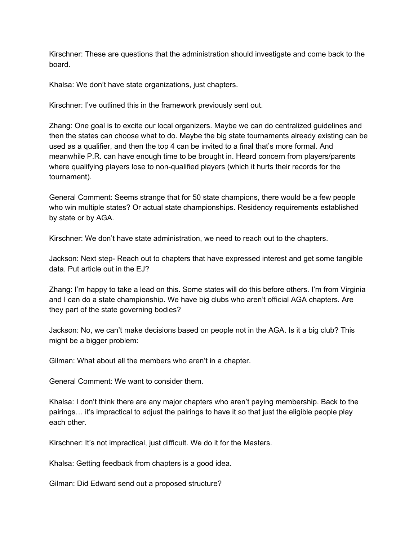Kirschner: These are questions that the administration should investigate and come back to the board.

Khalsa: We don't have state organizations, just chapters.

Kirschner: I've outlined this in the framework previously sent out.

Zhang: One goal is to excite our local organizers. Maybe we can do centralized guidelines and then the states can choose what to do. Maybe the big state tournaments already existing can be used as a qualifier, and then the top 4 can be invited to a final that's more formal. And meanwhile P.R. can have enough time to be brought in. Heard concern from players/parents where qualifying players lose to non-qualified players (which it hurts their records for the tournament).

General Comment: Seems strange that for 50 state champions, there would be a few people who win multiple states? Or actual state championships. Residency requirements established by state or by AGA.

Kirschner: We don't have state administration, we need to reach out to the chapters.

Jackson: Next step- Reach out to chapters that have expressed interest and get some tangible data. Put article out in the EJ?

Zhang: I'm happy to take a lead on this. Some states will do this before others. I'm from Virginia and I can do a state championship. We have big clubs who aren't official AGA chapters. Are they part of the state governing bodies?

Jackson: No, we can't make decisions based on people not in the AGA. Is it a big club? This might be a bigger problem:

Gilman: What about all the members who aren't in a chapter.

General Comment: We want to consider them.

Khalsa: I don't think there are any major chapters who aren't paying membership. Back to the pairings… it's impractical to adjust the pairings to have it so that just the eligible people play each other.

Kirschner: It's not impractical, just difficult. We do it for the Masters.

Khalsa: Getting feedback from chapters is a good idea.

Gilman: Did Edward send out a proposed structure?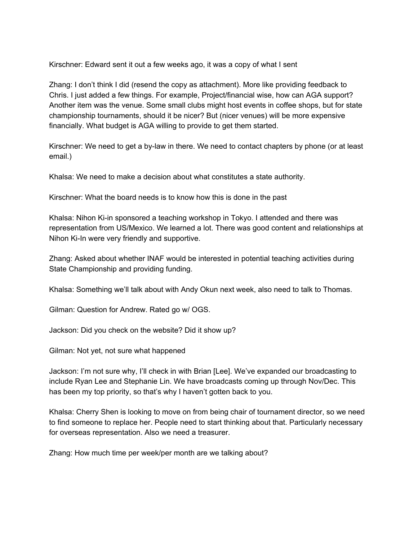Kirschner: Edward sent it out a few weeks ago, it was a copy of what I sent

Zhang: I don't think I did (resend the copy as attachment). More like providing feedback to Chris. I just added a few things. For example, Project/financial wise, how can AGA support? Another item was the venue. Some small clubs might host events in coffee shops, but for state championship tournaments, should it be nicer? But (nicer venues) will be more expensive financially. What budget is AGA willing to provide to get them started.

Kirschner: We need to get a by-law in there. We need to contact chapters by phone (or at least email.)

Khalsa: We need to make a decision about what constitutes a state authority.

Kirschner: What the board needs is to know how this is done in the past

Khalsa: Nihon Ki-in sponsored a teaching workshop in Tokyo. I attended and there was representation from US/Mexico. We learned a lot. There was good content and relationships at Nihon Ki-In were very friendly and supportive.

Zhang: Asked about whether INAF would be interested in potential teaching activities during State Championship and providing funding.

Khalsa: Something we'll talk about with Andy Okun next week, also need to talk to Thomas.

Gilman: Question for Andrew. Rated go w/ OGS.

Jackson: Did you check on the website? Did it show up?

Gilman: Not yet, not sure what happened

Jackson: I'm not sure why, I'll check in with Brian [Lee]. We've expanded our broadcasting to include Ryan Lee and Stephanie Lin. We have broadcasts coming up through Nov/Dec. This has been my top priority, so that's why I haven't gotten back to you.

Khalsa: Cherry Shen is looking to move on from being chair of tournament director, so we need to find someone to replace her. People need to start thinking about that. Particularly necessary for overseas representation. Also we need a treasurer.

Zhang: How much time per week/per month are we talking about?